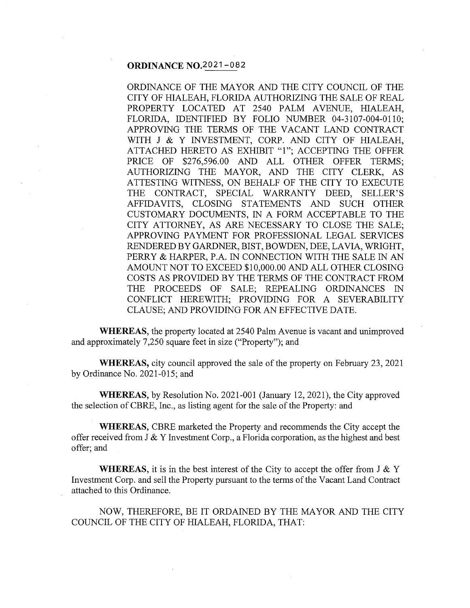# **ORDINANCE** NQ.2021-082

ORDINANCE OF THE MAYOR AND THE CITY COUNCIL OF THE CITY OF HIALEAH, FLORIDA AUTHORIZING THE SALE OF REAL PROPERTY LOCATED AT 2540 PALM AVENUE, HIALEAH, FLORIDA, IDENTIFIED BY FOLIO NUMBER 04-3107-004-0110; APPROVING THE TERMS OF THE VACANT LAND CONTRACT WITH J & Y INVESTMENT, CORP. AND CITY OF HIALEAH, ATTACHED HERETO AS EXHIBIT "l"; ACCEPTING THE OFFER PRICE OF \$276,596.00 AND ALL OTHER OFFER TERMS; AUTHORIZING THE MAYOR, AND THE CITY CLERK, AS ATTESTING WITNESS, ON BEHALF OF THE CITY TO EXECUTE THE CONTRACT, SPECIAL WARRANTY DEED, SELLER'S AFFIDAVITS, CLOSING STATEMENTS AND SUCH OTHER CUSTOMARY DOCUMENTS, IN A FORM ACCEPTABLE TO THE CITY ATTORNEY, AS ARE NECESSARY TO CLOSE THE SALE; APPROVING PAYMENT FOR PROFESSIONAL LEGAL SERVICES RENDERED BY GARDNER, BIST, BOWDEN, DEE, LA VIA, WRIGHT, PERRY & HARPER, P.A. IN CONNECTION WITH THE SALE IN AN AMOUNT NOT TO EXCEED \$10,000.00 AND ALL OTHER CLOSING COSTS AS PROVIDED BY THE TERMS OF THE CONTRACT FROM THE PROCEEDS OF SALE; REPEALING ORDINANCES IN CONFLICT HEREWITH; PROVIDING FOR A SEVERABILITY CLAUSE; AND PROVIDING FOR AN EFFECTIVE DATE.

**WHEREAS**, the property located at 2540 Palm Avenue is vacant and unimproved and approximately 7 ,250 square feet in size ("Property"); and

**WHEREAS,** city council approved the sale of the property on February 23, 2021 by Ordinance No. 2021-015; and

**WHEREAS,** by Resolution No. 2021-001 (January 12, 2021), the City approved the selection of CBRE, Inc., as listing agent for the sale of the Property: and

**WHEREAS,** CBRE marketed the Property and recommends the City accept the offer received from J & Y Investment Corp., a Florida corporation, as the highest and best offer; and

**WHEREAS,** it is in the best interest of the City to accept the offer from  $J \& Y$ Investment Corp. and sell the Property pursuant to the terms of the Vacant Land Contract attached to this Ordinance.

NOW, THEREFORE, BE IT ORDAINED BY THE MAYOR AND THE CITY COUNCIL OF THE CITY OF HIALEAH, FLORIDA, THAT: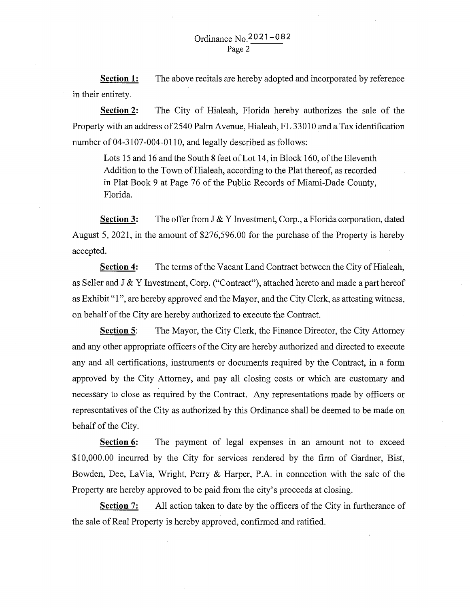**Section 1:**  in their entirety. The above recitals are hereby adopted and incorporated by reference

**Section 2:**  The City of Hialeah, Florida hereby authorizes the sale of the Property with an address of 2540 Palm Avenue, Hialeah, FL 33010 and a Tax identification number of 04-3107-004-0110, and legally described as follows:

Lots 15 and 16 and the South 8 feet of Lot 14, in Block 160, of the Eleventh Addition to the Town of Hialeah, according to the Plat thereof, as recorded in Plat Book 9 at Page 76 of the Public Records of Miami-Dade County, Florida.

**Section 3:** The offer from J & Y Investment, Corp., a Florida corporation, dated August 5, 2021, in the amount of \$276,596.00 for the purchase of the Property is hereby accepted.

**Section 4:** The terms of the Vacant Land Contract between the City of Hialeah, as Seller and J & Y Investment, Corp. ("Contract"), attached hereto and made a part hereof as Exhibit "1", are hereby approved and the Mayor, and the City Clerk, as attesting witness, on behalf of the City are hereby authorized to execute the Contract.

**Section 5:** The Mayor, the City Clerk, the Finance Director, the City Attorney and any other appropriate officers of the City are hereby authorized and directed to execute any and all certifications, instruments or documents required by the Contract, in a form approved by the City Attorney, and pay all closing costs or which are customary and necessary to close as required by the Contract. Any representations made by officers or representatives of the City as authorized by this Ordinance shall be deemed to be made on behalf of the City.

**Section 6:** The payment of legal expenses in an amount not to exceed \$10,000.00 incurred by the City for services rendered by the firm of Gardner, Bist, Bowden, Dee, LaVia, Wright, Perry & Harper, P.A. in connection with the sale of the Property are hereby approved to be paid from the city's proceeds at closing.

**Section 7:** All action taken to date by the officers of the City in furtherance of the sale of Real Property is hereby approved, confirmed and ratified.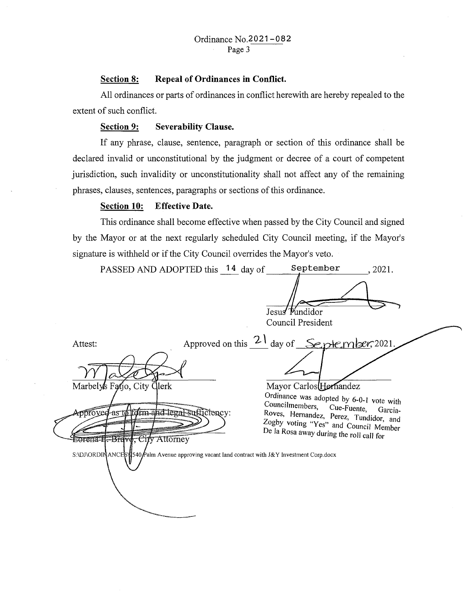### **Section 8: Repeal of Ordinances in Conflict.**

All ordinances or parts of ordinances in conflict herewith are hereby repealed to the extent of such conflict.

## **Section 9: Severability Clause.**

If any phrase, clause, sentence, paragraph or section of this ordinance shall be declared invalid or unconstitutional by the judgment or decree of a court of competent jurisdiction, such invalidity or unconstitutionality shall not affect any of the remaining phrases, clauses, sentences, paragraphs or sections of this ordinance.

## **Section 10: Effective Date.**

This ordinance shall become effective when passed by the City Council and signed by the Mayor or at the next regularly scheduled City Council meeting, if the Mayor's signature is withheld or if the City Council overrides the Mayor's veto.

| Jesus Pundidor<br>Council President                                                                                                                                                                                                                                                                                                                                                                                                                       |  |
|-----------------------------------------------------------------------------------------------------------------------------------------------------------------------------------------------------------------------------------------------------------------------------------------------------------------------------------------------------------------------------------------------------------------------------------------------------------|--|
| Approved on this $\frac{21}{4}$ day of September, 2021<br>Attest:                                                                                                                                                                                                                                                                                                                                                                                         |  |
| Marbelys Fatjo, City Clerk<br>Mayor Carlos Hernandez<br>Ordinance was adopted by 6-0-1 vote with<br>Councilmembers, Cue-Fuente, Garcia-<br>Approved as to form and legal sufficiency:<br>Roves, Hernandez, Perez, Tundidor, and<br>Zogby voting "Yes" and Council Member<br>De la Rosa away during the roll call for<br>Eorena E. Brave, City Attorney<br>S:\DJ\ORDINANCES\\$540 Palm Avenue approving vacant land contract with J&Y Investment Corp.docx |  |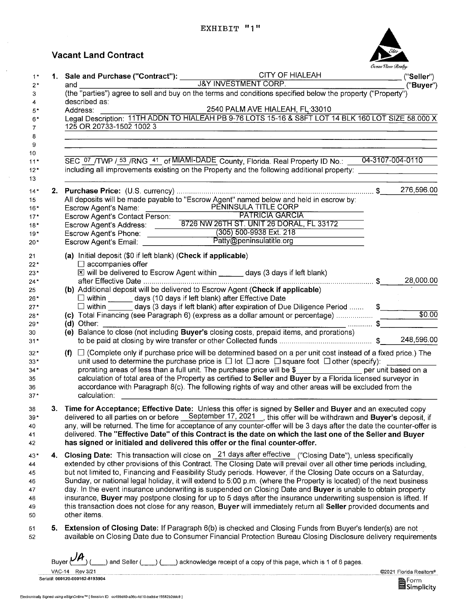# **Vacant Land Contract**

| 1. Sale and Purchase ("Contract"): CITY OF<br>CITY OF Sand Purchase ("Contract"): J&Y INVESTMENT CORP.<br>("Buyer")<br>described as:<br>2540 PALM AVE HIALEAH, FL 33010<br>Address:<br>Legal Description: 11TH ADDN TO HIALEAH PB 9-76 LOTS 15-16 & S8FT LOT 14 BLK 160 LOT SIZE 58.000 X<br>125 OR 20733-1502 1002 3<br>04-3107-004-0110<br>SEC 07 /TWP / 53 /RNG 41 of MIAMI-DADE County, Florida. Real Property ID No.: _<br>including all improvements existing on the Property and the following additional property:<br>276,596.00<br>All deposits will be made payable to "Escrow Agent" named below and held in escrow by:<br>PENINSULA TITLE CORP<br>Escrow Agent's Name:<br><b>PATRICIA GARCIA</b><br>Escrow Agent's Contact Person:<br>Escrow Agent's Address: _______8726 NW 26TH ST. UNIT 26 DORAL, FL 33172<br>Escrow Agent's Address.<br>Escrow Agent's Phone: (305) 500-9938 Ext. 218<br>Fscrow Agent's Email: Patty@peninsulatitle.org<br>(a) Initial deposit (\$0 if left blank) (Check if applicable)<br>$\Box$ accompanies offer<br>X will be delivered to Escrow Agent within _____ days (3 days if left blank)<br>28,000.00<br>(b) Additional deposit will be delivered to Escrow Agent (Check if applicable)<br>□ within _______ days (10 days if left blank) after Effective Date<br>$\square$ within ______ days (3 days if left blank) after expiration of Due Diligence Period<br>$\frac{1}{2}$<br>\$0.00<br>(c) Total Financing (see Paragraph 6) (express as a dollar amount or percentage)<br>\$<br>(d) Other:<br>(e) Balance to close (not including Buyer's closing costs, prepaid items, and prorations)<br>(f) $\Box$ (Complete only if purchase price will be determined based on a per unit cost instead of a fixed price.) The<br>unit used to determine the purchase price is $\Box$ lot $\Box$ acre $\Box$ square foot $\Box$ other (specify):<br>prorating areas of less than a full unit. The purchase price will be \$__________________ per unit based on a<br>calculation of total area of the Property as certified to Seller and Buyer by a Florida licensed surveyor in<br>accordance with Paragraph 8(c). The following rights of way and other areas will be excluded from the<br>calculation:<br>Time for Acceptance; Effective Date: Unless this offer is signed by Seller and Buyer and an executed copy<br>delivered to all parties on or before September 17, 2021 , this offer will be withdrawn and Buyer's deposit, if |
|---------------------------------------------------------------------------------------------------------------------------------------------------------------------------------------------------------------------------------------------------------------------------------------------------------------------------------------------------------------------------------------------------------------------------------------------------------------------------------------------------------------------------------------------------------------------------------------------------------------------------------------------------------------------------------------------------------------------------------------------------------------------------------------------------------------------------------------------------------------------------------------------------------------------------------------------------------------------------------------------------------------------------------------------------------------------------------------------------------------------------------------------------------------------------------------------------------------------------------------------------------------------------------------------------------------------------------------------------------------------------------------------------------------------------------------------------------------------------------------------------------------------------------------------------------------------------------------------------------------------------------------------------------------------------------------------------------------------------------------------------------------------------------------------------------------------------------------------------------------------------------------------------------------------------------------------------------------------------------------------------------------------------------------------------------------------------------------------------------------------------------------------------------------------------------------------------------------------------------------------------------------------------------------------------------------------------------------------------------------------------------------------------------------------------------------------------------------------------------|
|                                                                                                                                                                                                                                                                                                                                                                                                                                                                                                                                                                                                                                                                                                                                                                                                                                                                                                                                                                                                                                                                                                                                                                                                                                                                                                                                                                                                                                                                                                                                                                                                                                                                                                                                                                                                                                                                                                                                                                                                                                                                                                                                                                                                                                                                                                                                                                                                                                                                                 |
|                                                                                                                                                                                                                                                                                                                                                                                                                                                                                                                                                                                                                                                                                                                                                                                                                                                                                                                                                                                                                                                                                                                                                                                                                                                                                                                                                                                                                                                                                                                                                                                                                                                                                                                                                                                                                                                                                                                                                                                                                                                                                                                                                                                                                                                                                                                                                                                                                                                                                 |
|                                                                                                                                                                                                                                                                                                                                                                                                                                                                                                                                                                                                                                                                                                                                                                                                                                                                                                                                                                                                                                                                                                                                                                                                                                                                                                                                                                                                                                                                                                                                                                                                                                                                                                                                                                                                                                                                                                                                                                                                                                                                                                                                                                                                                                                                                                                                                                                                                                                                                 |
|                                                                                                                                                                                                                                                                                                                                                                                                                                                                                                                                                                                                                                                                                                                                                                                                                                                                                                                                                                                                                                                                                                                                                                                                                                                                                                                                                                                                                                                                                                                                                                                                                                                                                                                                                                                                                                                                                                                                                                                                                                                                                                                                                                                                                                                                                                                                                                                                                                                                                 |
|                                                                                                                                                                                                                                                                                                                                                                                                                                                                                                                                                                                                                                                                                                                                                                                                                                                                                                                                                                                                                                                                                                                                                                                                                                                                                                                                                                                                                                                                                                                                                                                                                                                                                                                                                                                                                                                                                                                                                                                                                                                                                                                                                                                                                                                                                                                                                                                                                                                                                 |
|                                                                                                                                                                                                                                                                                                                                                                                                                                                                                                                                                                                                                                                                                                                                                                                                                                                                                                                                                                                                                                                                                                                                                                                                                                                                                                                                                                                                                                                                                                                                                                                                                                                                                                                                                                                                                                                                                                                                                                                                                                                                                                                                                                                                                                                                                                                                                                                                                                                                                 |
|                                                                                                                                                                                                                                                                                                                                                                                                                                                                                                                                                                                                                                                                                                                                                                                                                                                                                                                                                                                                                                                                                                                                                                                                                                                                                                                                                                                                                                                                                                                                                                                                                                                                                                                                                                                                                                                                                                                                                                                                                                                                                                                                                                                                                                                                                                                                                                                                                                                                                 |
|                                                                                                                                                                                                                                                                                                                                                                                                                                                                                                                                                                                                                                                                                                                                                                                                                                                                                                                                                                                                                                                                                                                                                                                                                                                                                                                                                                                                                                                                                                                                                                                                                                                                                                                                                                                                                                                                                                                                                                                                                                                                                                                                                                                                                                                                                                                                                                                                                                                                                 |
|                                                                                                                                                                                                                                                                                                                                                                                                                                                                                                                                                                                                                                                                                                                                                                                                                                                                                                                                                                                                                                                                                                                                                                                                                                                                                                                                                                                                                                                                                                                                                                                                                                                                                                                                                                                                                                                                                                                                                                                                                                                                                                                                                                                                                                                                                                                                                                                                                                                                                 |
|                                                                                                                                                                                                                                                                                                                                                                                                                                                                                                                                                                                                                                                                                                                                                                                                                                                                                                                                                                                                                                                                                                                                                                                                                                                                                                                                                                                                                                                                                                                                                                                                                                                                                                                                                                                                                                                                                                                                                                                                                                                                                                                                                                                                                                                                                                                                                                                                                                                                                 |
|                                                                                                                                                                                                                                                                                                                                                                                                                                                                                                                                                                                                                                                                                                                                                                                                                                                                                                                                                                                                                                                                                                                                                                                                                                                                                                                                                                                                                                                                                                                                                                                                                                                                                                                                                                                                                                                                                                                                                                                                                                                                                                                                                                                                                                                                                                                                                                                                                                                                                 |
|                                                                                                                                                                                                                                                                                                                                                                                                                                                                                                                                                                                                                                                                                                                                                                                                                                                                                                                                                                                                                                                                                                                                                                                                                                                                                                                                                                                                                                                                                                                                                                                                                                                                                                                                                                                                                                                                                                                                                                                                                                                                                                                                                                                                                                                                                                                                                                                                                                                                                 |
|                                                                                                                                                                                                                                                                                                                                                                                                                                                                                                                                                                                                                                                                                                                                                                                                                                                                                                                                                                                                                                                                                                                                                                                                                                                                                                                                                                                                                                                                                                                                                                                                                                                                                                                                                                                                                                                                                                                                                                                                                                                                                                                                                                                                                                                                                                                                                                                                                                                                                 |
|                                                                                                                                                                                                                                                                                                                                                                                                                                                                                                                                                                                                                                                                                                                                                                                                                                                                                                                                                                                                                                                                                                                                                                                                                                                                                                                                                                                                                                                                                                                                                                                                                                                                                                                                                                                                                                                                                                                                                                                                                                                                                                                                                                                                                                                                                                                                                                                                                                                                                 |
|                                                                                                                                                                                                                                                                                                                                                                                                                                                                                                                                                                                                                                                                                                                                                                                                                                                                                                                                                                                                                                                                                                                                                                                                                                                                                                                                                                                                                                                                                                                                                                                                                                                                                                                                                                                                                                                                                                                                                                                                                                                                                                                                                                                                                                                                                                                                                                                                                                                                                 |
|                                                                                                                                                                                                                                                                                                                                                                                                                                                                                                                                                                                                                                                                                                                                                                                                                                                                                                                                                                                                                                                                                                                                                                                                                                                                                                                                                                                                                                                                                                                                                                                                                                                                                                                                                                                                                                                                                                                                                                                                                                                                                                                                                                                                                                                                                                                                                                                                                                                                                 |
|                                                                                                                                                                                                                                                                                                                                                                                                                                                                                                                                                                                                                                                                                                                                                                                                                                                                                                                                                                                                                                                                                                                                                                                                                                                                                                                                                                                                                                                                                                                                                                                                                                                                                                                                                                                                                                                                                                                                                                                                                                                                                                                                                                                                                                                                                                                                                                                                                                                                                 |
|                                                                                                                                                                                                                                                                                                                                                                                                                                                                                                                                                                                                                                                                                                                                                                                                                                                                                                                                                                                                                                                                                                                                                                                                                                                                                                                                                                                                                                                                                                                                                                                                                                                                                                                                                                                                                                                                                                                                                                                                                                                                                                                                                                                                                                                                                                                                                                                                                                                                                 |
|                                                                                                                                                                                                                                                                                                                                                                                                                                                                                                                                                                                                                                                                                                                                                                                                                                                                                                                                                                                                                                                                                                                                                                                                                                                                                                                                                                                                                                                                                                                                                                                                                                                                                                                                                                                                                                                                                                                                                                                                                                                                                                                                                                                                                                                                                                                                                                                                                                                                                 |
|                                                                                                                                                                                                                                                                                                                                                                                                                                                                                                                                                                                                                                                                                                                                                                                                                                                                                                                                                                                                                                                                                                                                                                                                                                                                                                                                                                                                                                                                                                                                                                                                                                                                                                                                                                                                                                                                                                                                                                                                                                                                                                                                                                                                                                                                                                                                                                                                                                                                                 |
|                                                                                                                                                                                                                                                                                                                                                                                                                                                                                                                                                                                                                                                                                                                                                                                                                                                                                                                                                                                                                                                                                                                                                                                                                                                                                                                                                                                                                                                                                                                                                                                                                                                                                                                                                                                                                                                                                                                                                                                                                                                                                                                                                                                                                                                                                                                                                                                                                                                                                 |
|                                                                                                                                                                                                                                                                                                                                                                                                                                                                                                                                                                                                                                                                                                                                                                                                                                                                                                                                                                                                                                                                                                                                                                                                                                                                                                                                                                                                                                                                                                                                                                                                                                                                                                                                                                                                                                                                                                                                                                                                                                                                                                                                                                                                                                                                                                                                                                                                                                                                                 |
|                                                                                                                                                                                                                                                                                                                                                                                                                                                                                                                                                                                                                                                                                                                                                                                                                                                                                                                                                                                                                                                                                                                                                                                                                                                                                                                                                                                                                                                                                                                                                                                                                                                                                                                                                                                                                                                                                                                                                                                                                                                                                                                                                                                                                                                                                                                                                                                                                                                                                 |
|                                                                                                                                                                                                                                                                                                                                                                                                                                                                                                                                                                                                                                                                                                                                                                                                                                                                                                                                                                                                                                                                                                                                                                                                                                                                                                                                                                                                                                                                                                                                                                                                                                                                                                                                                                                                                                                                                                                                                                                                                                                                                                                                                                                                                                                                                                                                                                                                                                                                                 |
|                                                                                                                                                                                                                                                                                                                                                                                                                                                                                                                                                                                                                                                                                                                                                                                                                                                                                                                                                                                                                                                                                                                                                                                                                                                                                                                                                                                                                                                                                                                                                                                                                                                                                                                                                                                                                                                                                                                                                                                                                                                                                                                                                                                                                                                                                                                                                                                                                                                                                 |
|                                                                                                                                                                                                                                                                                                                                                                                                                                                                                                                                                                                                                                                                                                                                                                                                                                                                                                                                                                                                                                                                                                                                                                                                                                                                                                                                                                                                                                                                                                                                                                                                                                                                                                                                                                                                                                                                                                                                                                                                                                                                                                                                                                                                                                                                                                                                                                                                                                                                                 |
|                                                                                                                                                                                                                                                                                                                                                                                                                                                                                                                                                                                                                                                                                                                                                                                                                                                                                                                                                                                                                                                                                                                                                                                                                                                                                                                                                                                                                                                                                                                                                                                                                                                                                                                                                                                                                                                                                                                                                                                                                                                                                                                                                                                                                                                                                                                                                                                                                                                                                 |
|                                                                                                                                                                                                                                                                                                                                                                                                                                                                                                                                                                                                                                                                                                                                                                                                                                                                                                                                                                                                                                                                                                                                                                                                                                                                                                                                                                                                                                                                                                                                                                                                                                                                                                                                                                                                                                                                                                                                                                                                                                                                                                                                                                                                                                                                                                                                                                                                                                                                                 |
|                                                                                                                                                                                                                                                                                                                                                                                                                                                                                                                                                                                                                                                                                                                                                                                                                                                                                                                                                                                                                                                                                                                                                                                                                                                                                                                                                                                                                                                                                                                                                                                                                                                                                                                                                                                                                                                                                                                                                                                                                                                                                                                                                                                                                                                                                                                                                                                                                                                                                 |
|                                                                                                                                                                                                                                                                                                                                                                                                                                                                                                                                                                                                                                                                                                                                                                                                                                                                                                                                                                                                                                                                                                                                                                                                                                                                                                                                                                                                                                                                                                                                                                                                                                                                                                                                                                                                                                                                                                                                                                                                                                                                                                                                                                                                                                                                                                                                                                                                                                                                                 |
|                                                                                                                                                                                                                                                                                                                                                                                                                                                                                                                                                                                                                                                                                                                                                                                                                                                                                                                                                                                                                                                                                                                                                                                                                                                                                                                                                                                                                                                                                                                                                                                                                                                                                                                                                                                                                                                                                                                                                                                                                                                                                                                                                                                                                                                                                                                                                                                                                                                                                 |
|                                                                                                                                                                                                                                                                                                                                                                                                                                                                                                                                                                                                                                                                                                                                                                                                                                                                                                                                                                                                                                                                                                                                                                                                                                                                                                                                                                                                                                                                                                                                                                                                                                                                                                                                                                                                                                                                                                                                                                                                                                                                                                                                                                                                                                                                                                                                                                                                                                                                                 |
|                                                                                                                                                                                                                                                                                                                                                                                                                                                                                                                                                                                                                                                                                                                                                                                                                                                                                                                                                                                                                                                                                                                                                                                                                                                                                                                                                                                                                                                                                                                                                                                                                                                                                                                                                                                                                                                                                                                                                                                                                                                                                                                                                                                                                                                                                                                                                                                                                                                                                 |
| any, will be returned. The time for acceptance of any counter-offer will be 3 days after the date the counter-offer is                                                                                                                                                                                                                                                                                                                                                                                                                                                                                                                                                                                                                                                                                                                                                                                                                                                                                                                                                                                                                                                                                                                                                                                                                                                                                                                                                                                                                                                                                                                                                                                                                                                                                                                                                                                                                                                                                                                                                                                                                                                                                                                                                                                                                                                                                                                                                          |
| delivered. The "Effective Date" of this Contract is the date on which the last one of the Seller and Buyer<br>has signed or initialed and delivered this offer or the final counter-offer.                                                                                                                                                                                                                                                                                                                                                                                                                                                                                                                                                                                                                                                                                                                                                                                                                                                                                                                                                                                                                                                                                                                                                                                                                                                                                                                                                                                                                                                                                                                                                                                                                                                                                                                                                                                                                                                                                                                                                                                                                                                                                                                                                                                                                                                                                      |
|                                                                                                                                                                                                                                                                                                                                                                                                                                                                                                                                                                                                                                                                                                                                                                                                                                                                                                                                                                                                                                                                                                                                                                                                                                                                                                                                                                                                                                                                                                                                                                                                                                                                                                                                                                                                                                                                                                                                                                                                                                                                                                                                                                                                                                                                                                                                                                                                                                                                                 |
| 4. Closing Date: This transaction will close on 21 days after effective ("Closing Date"), unless specifically                                                                                                                                                                                                                                                                                                                                                                                                                                                                                                                                                                                                                                                                                                                                                                                                                                                                                                                                                                                                                                                                                                                                                                                                                                                                                                                                                                                                                                                                                                                                                                                                                                                                                                                                                                                                                                                                                                                                                                                                                                                                                                                                                                                                                                                                                                                                                                   |
| extended by other provisions of this Contract. The Closing Date will prevail over all other time periods including,<br>but not limited to, Financing and Feasibility Study periods. However, if the Closing Date occurs on a Saturday,                                                                                                                                                                                                                                                                                                                                                                                                                                                                                                                                                                                                                                                                                                                                                                                                                                                                                                                                                                                                                                                                                                                                                                                                                                                                                                                                                                                                                                                                                                                                                                                                                                                                                                                                                                                                                                                                                                                                                                                                                                                                                                                                                                                                                                          |
| Sunday, or national legal holiday, it will extend to 5:00 p.m. (where the Property is located) of the next business                                                                                                                                                                                                                                                                                                                                                                                                                                                                                                                                                                                                                                                                                                                                                                                                                                                                                                                                                                                                                                                                                                                                                                                                                                                                                                                                                                                                                                                                                                                                                                                                                                                                                                                                                                                                                                                                                                                                                                                                                                                                                                                                                                                                                                                                                                                                                             |
| day. In the event insurance underwriting is suspended on Closing Date and Buyer is unable to obtain property                                                                                                                                                                                                                                                                                                                                                                                                                                                                                                                                                                                                                                                                                                                                                                                                                                                                                                                                                                                                                                                                                                                                                                                                                                                                                                                                                                                                                                                                                                                                                                                                                                                                                                                                                                                                                                                                                                                                                                                                                                                                                                                                                                                                                                                                                                                                                                    |
| insurance, Buyer may postpone closing for up to 5 days after the insurance underwriting suspension is lifted. If                                                                                                                                                                                                                                                                                                                                                                                                                                                                                                                                                                                                                                                                                                                                                                                                                                                                                                                                                                                                                                                                                                                                                                                                                                                                                                                                                                                                                                                                                                                                                                                                                                                                                                                                                                                                                                                                                                                                                                                                                                                                                                                                                                                                                                                                                                                                                                |
| this transaction does not close for any reason, Buyer will immediately return all Seller provided documents and                                                                                                                                                                                                                                                                                                                                                                                                                                                                                                                                                                                                                                                                                                                                                                                                                                                                                                                                                                                                                                                                                                                                                                                                                                                                                                                                                                                                                                                                                                                                                                                                                                                                                                                                                                                                                                                                                                                                                                                                                                                                                                                                                                                                                                                                                                                                                                 |
| other items.                                                                                                                                                                                                                                                                                                                                                                                                                                                                                                                                                                                                                                                                                                                                                                                                                                                                                                                                                                                                                                                                                                                                                                                                                                                                                                                                                                                                                                                                                                                                                                                                                                                                                                                                                                                                                                                                                                                                                                                                                                                                                                                                                                                                                                                                                                                                                                                                                                                                    |
| 5. Extension of Closing Date: If Paragraph 6(b) is checked and Closing Funds from Buyer's lender(s) are not<br>available on Closing Date due to Consumer Financial Protection Bureau Closing Disclosure delivery requirements                                                                                                                                                                                                                                                                                                                                                                                                                                                                                                                                                                                                                                                                                                                                                                                                                                                                                                                                                                                                                                                                                                                                                                                                                                                                                                                                                                                                                                                                                                                                                                                                                                                                                                                                                                                                                                                                                                                                                                                                                                                                                                                                                                                                                                                   |
|                                                                                                                                                                                                                                                                                                                                                                                                                                                                                                                                                                                                                                                                                                                                                                                                                                                                                                                                                                                                                                                                                                                                                                                                                                                                                                                                                                                                                                                                                                                                                                                                                                                                                                                                                                                                                                                                                                                                                                                                                                                                                                                                                                                                                                                                                                                                                                                                                                                                                 |

Buyer  $(\nu_{\mathcal{M}})$  (  $\ldots$  ) and Seller ( $\ldots$ )  $(\ldots)$  acknowledge receipt of a copy of this page, which is 1 of 8 pages.

VAC-14 Rev 3/21 Serial#: 000120-000162-8193904 ©2021 Florida Realtors®

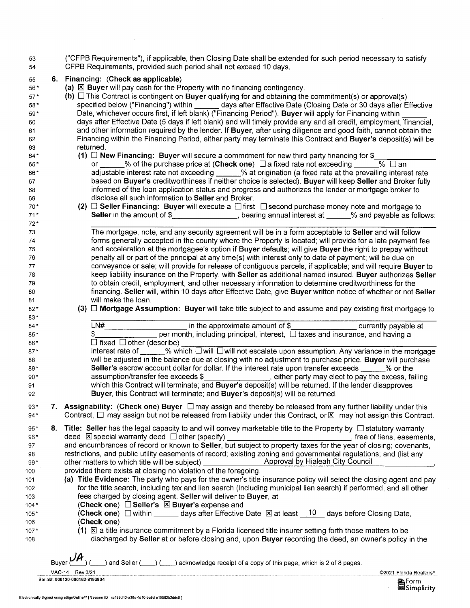53 ("CFPB Requirements"), if applicable, then Closing Date shall be extended for such period necessary to satisfy 54 CFPB Requirements, provided such period shall not exceed 10 days.

## 55 **6. Financing: (Check as applicable)**

56<sup>\*</sup> **(a)**  $\boxtimes$  **Buyer** will pay cash for the Property with no financing contingency.

57\* **(b)** D This Contract is contingent on **Buyer** qualifying for and obtaining the commitment(s) or approval(s) 58\* specified below ("Financing") within \_\_\_\_\_\_ days after Effective Date (Closing Date or 30 days after Effective 59\* Date, whichever occurs first, if left blank) ("Financing Period"). **Buyer** will apply for Financing within 60<br>60 days after Effective Date (5 days if left blank) and will timely provide any and all credit, employment, days after Effective Date (5 days if left blank) and will timely provide any and all credit, employment, financial, 61 and other information required by the lender. If **Buyer,** after using diligence and good faith, cannot obtain the 62 Financing within the Financing Period, either party may terminate this Contract and **Buyer's** deposit(s) will be 63 returned.

- 
- 64\* **(1) D New Financing: Buyer** will secure a commitment for new third party financing for \$<br>65\* or % of the purchase price at (Check one) **Da fixed rate not exceeding** % D an 65<sup>\*</sup> or 1880 or 1880 or 55<sup>\*</sup> of the purchase price at (Check one) □ a fixed rate not exceeding 66<sup>\*</sup> adjustable interest rate not exceeding 9% at origination (a fixed rate at the posterior) 66\* adjustable interest rate not exceeding % at origination (a fixed rate at the prevailing interest rate 67 based on **Buyer's** creditworthiness if neither choice is selected). **Buyer** will keep **Seller** and Broker fully 68 informed of the loan application status and progress and authorizes the lender or mortgage broker to 69 disclose all such information to **Seller** and Broker.
- 70\* **(2) D Seller Financing: Buyer** will execute a D first D second purchase money note and mortgage to 71<sup>\*</sup> Seller in the amount of \$ **, bearing annual interest at \_\_\_\_\_%** and payable as follows:

The mortgage, note, and any security agreement will be in a form acceptable to **Seller** and will follow forms generally accepted in the county where the Property is located; will provide for a late payment fee and acceleration at the mortgagee's option if **Buyer** defaults; will give **Buyer** the right to prepay without penalty all or part of the principal at any time(s) with interest only to date of payment; will be due on conveyance or sale; will provide for release of contiguous parcels, if applicable; and will require **Buyer** to keep liability insurance on the Property, with **Seller** as additional named insured. **Buyer** authorizes **Seller**  to obtain credit, employment, and other necessary information to determine creditworthiness for the financing. **Seller** will, within 10 days after Effective Date, give **Buyer** written notice of whether or not **Seller**  will make the loan.

**(3) D Mortgage Assumption: Buyer** will take title subject to and assume and pay existing first mortgage to

| $\cdots$ |     |                                                                                                                           |  |
|----------|-----|---------------------------------------------------------------------------------------------------------------------------|--|
| $84*$    | N#. | in the approximate amount of \$____________________________ currently payable at                                          |  |
| $85*$    |     | per month, including principal, interest, $\Box$ taxes and insurance, and having a                                        |  |
| 86*      |     | $\Box$ fixed $\Box$ other (describe)                                                                                      |  |
| $87*$    |     | interest rate of $\_\_\_\_$ % which $\Box$ will $\Box$ will not escalate upon assumption. Any variance in the mortgage    |  |
| 88       |     | will be adjusted in the balance due at closing with no adjustment to purchase price. Buyer will purchase                  |  |
| 89*      |     | Seller's escrow account dollar for dollar. If the interest rate upon transfer exceeds % or the                            |  |
| $90*$    |     | assumption/transfer fee exceeds \$___________________, either party may elect to pay the excess, failing                  |  |
| 91       |     | which this Contract will terminate; and Buyer's deposit(s) will be returned. If the lender disapproves                    |  |
| 92       |     | Buyer, this Contract will terminate; and Buyer's deposit(s) will be returned.                                             |  |
| $0.2*$   |     | $\Lambda$ eejangbility: (Chock ang) Buyer $\Box$ may assign and thereby he relegged from any further lighility under this |  |

- 93\* **7. Assignability: (Check one) Buyer**  $\Box$  may assign and thereby be released from any further liability under this 94\* Contract,  $\Box$  may assign but not be released from liability under this Contract, or  $\boxtimes$  may not assign this Contract.
- 95<sup>\*</sup> 8. Title: Seller has the legal capacity to and will convey marketable title to the Property by □ statutory warranty 96\* deed  $\boxtimes$  special warranty deed  $\Box$  other (specify) , free of liens, easements, 97 and encumbrances of record or known to **Seller,** but subject to property taxes for the year of closing; covenants, 98 restrictions, and public utility easements of record; existing zoning and governmental regulations; and (list any<br>99\* other matters to which title will be subject) Approval by Hialeah City Council 99\* other matters to which title will be subject)
- 100 provided there exists at closing no violation of the foregoing.
- 101 **(a) Title Evidence:** The party who pays for the owner's title insurance policy will select the closing agent and pay 102 for the title search, including tax and lien search (including municipal lien search) if performed, and all other 103 fees charged by closing agent. **Seller** will deliver to **Buyer,** at
- 104<sup>★</sup> **(Check one) D** Seller's  $\boxed{\mathbb{X}}$  Buyer's expense and
- 105\* **(Check one)**  $\Box$  within days after Effective Date  $\Box$  at least 10 days before Closing Date, 106 **(Check one)**
- 107<sup>\*</sup> **(1)**  $\overline{K}$  a title insurance commitment by a Florida licensed title insurer setting forth those matters to be 108 discharged by **Seller** at or before closing and, upon **Buyer** recording the deed, an owner's policy in the

©2021 Florida Realtors®

■Form<br>■Simplicity

Buyer  $\mathcal{U}$  (  $\rightarrow$  ) and Seller (  $\rightarrow$  ) (  $\rightarrow$  ) acknowledge receipt of a copy of this page, which is 2 of 8 pages.

VAC-14 Rev 3/21 Serial#: 000120-000162-8193904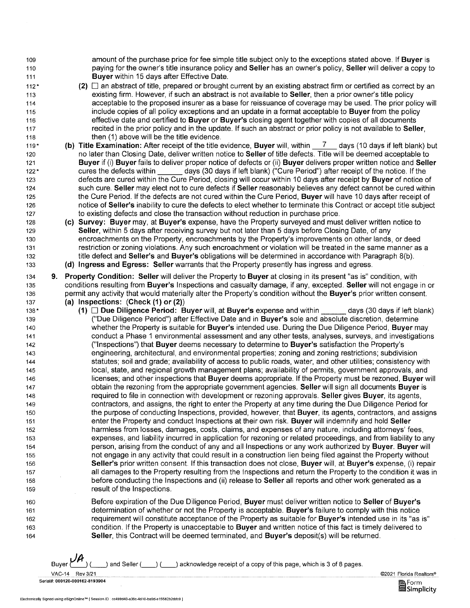amount of the purchase price for fee simple title subject only to the exceptions stated above. If **Buyer** is paying for the owner's title insurance policy and **Seller** has an owner's policy, **Seller** will deliver a copy to **Buyer** within 15 days after Effective Date.

- **(2)** D an abstract of title, prepared or brought current by an existing abstract firm or certified as correct by an existing firm. However, if such an abstract is not available to **Seller,** then a prior owner's title policy acceptable to the proposed insurer as a base for reissuance of coverage may be used. The prior policy will include copies of all policy exceptions and an update in a format acceptable to **Buyer** from the policy effective date and certified to **Buyer or Buyer's** closing agent together with copies of all documents recited in the prior policy and in the update. If such an abstract or prior policy is not available to **Seller,**  then (1) above will be the title evidence.
- 119 \* 120 121 122\* 123 124 125 126 127 **(b) Title Examination:** After receipt of the title evidence, **Buyer** will, within 7 days (10 days if left blank) but no later than Closing Date, deliver written notice to **Seller** of title defects. Title will be deemed acceptable to **Buyer** if (i) **Buyer** fails to deliver proper notice of defects or (ii) **Buyer** delivers proper written notice and **Seller**  cures the defects within \_\_\_\_\_\_ days (30 days if left blank) ("Cure Period") after receipt of the notice. If the defects are cured within the Cure Period, closing will occur within 10 days after receipt by **Buyer** of notice of such cure. **Seller** may elect not to cure defects if **Seller** reasonably believes any defect cannot be cured within the Cure Period. If the defects are not cured within the Cure Period, **Buyer** will have 10 days after receipt of notice of **Seller's** inability to cure the defects to elect whether to terminate this Contract or accept title subject to existing defects and close the transaction without reduction in purchase price.
	- (c) **Survey: Buyer** may, at **Buyer's** expense, have the Property surveyed and must deliver written notice to **Seller,** within 5 days after receiving survey but not later than 5 days before Closing Date, of any encroachments on the Property, encroachments by the Property's improvements on other lands, or deed restriction or zoning violations. Any such encroachment or violation will be treated in the same manner as a title defect and **Seller's** and **Buyer's** obligations will be determined in accordance with Paragraph 8(b). **(d) Ingress and Egress: Seller** warrants that the Property presently has ingress and egress.
- 134 135 136 137 **9. Property Condition: Seller** will deliver the Property to **Buyer** at closing in its present "as is" condition, with conditions resulting from **Buyer's** Inspections and casualty damage, if any, excepted. **Seller** will not engage in or permit any activity that would materially alter the Property's condition without the **Buyer's** prior written consent. **(a) Inspections: (Check (1) or (2))**
- 138 \* 139 140 141 142 143 144 145 146 147 148 149 150 151 152 153 154 155 156 157 158 159 **(1)** Due Diligence Period: Buyer will, at Buyer's expense and within days (30 days if left blank) ("Due Diligence Period") after Effective Date and in **Buyer's** sole and absolute discretion, determine whether the Property is suitable for **Buyer's** intended use. During the Due Diligence Period, **Buyer** may conduct a Phase 1 environmental assessment and any other tests, analyses, surveys, and investigations ("Inspections") that **Buyer** deems necessary to determine to **Buyer's** satisfaction the Property's engineering, architectural, and environmental properties; zoning and zoning restrictions; subdivision statutes; soil and grade; availability of access to public roads, water, and other utilities; consistency with local, state, and regional growth management plans; availability of permits, government approvals, and licenses; and other inspections that **Buyer** deems appropriate. If the Property must be rezoned, **Buyer** will obtain the rezoning from the appropriate government agencies. **Seller** will sign all documents **Buyer** is required to file in connection with development or rezoning approvals. **Seller** gives **Buyer,** its agents, contractors, and assigns, the right to enter the Property at any time during the Due Diligence Period for the purpose of conducting Inspections, provided, however, that **Buyer,** its agents, contractors, and assigns enter the Property and conduct Inspections at their own risk. **Buyer** will indemnify and hold **Seller**  harmless from losses, damages, costs, claims, and expenses of any nature, including attorneys' fees, expenses, and liability incurred in application for rezoning or related proceedings, and from liability to any person, arising from the conduct of any and all Inspections or any work authorized by **Buyer. Buyer** will not engage in any activity that could result in a construction lien being filed against the Property without **Seller's** prior written consent. If this transaction does not close, **Buyer** will, at **Buyer's** expense, (i) repair all damages to the Property resulting from the Inspections and return the Property to the condition it was in before conducting the Inspections and (ii) release to **Seller** all reports and other work generated as a result of the Inspections.

Before expiration of the Due Diligence Period, **Buyer** must deliver written notice to **Seller of Buyer's**  determination of whether or not the Property is acceptable. **Buyer's** failure to comply with this notice requirement will constitute acceptance of the Property as suitable for **Buyer's** intended use in its "as is" condition. If the Property is unacceptable to **Buyer** and written notice of this fact is timely delivered to **Seller,** this Contract will be deemed terminated, and **Buyer's** deposit(s) will be returned.

Buyer  $\cancel{\cancel{\mu}}$  (  $\cancel{\phantom{\mu}}$  ) and Seller (  $\cancel{\phantom{\mu}}$  ) acknowledge receipt of a copy of this page, which is 3 of 8 pages.

VAC-14 Rev 3/21 ©2021 Florida Realtors® ~Form Serial#: 000120-000162-8193904



Electronically Signed using eSignOnline™ f Session ID cc499d40-a36c-4d10-ba9d-e15582b2ddc9]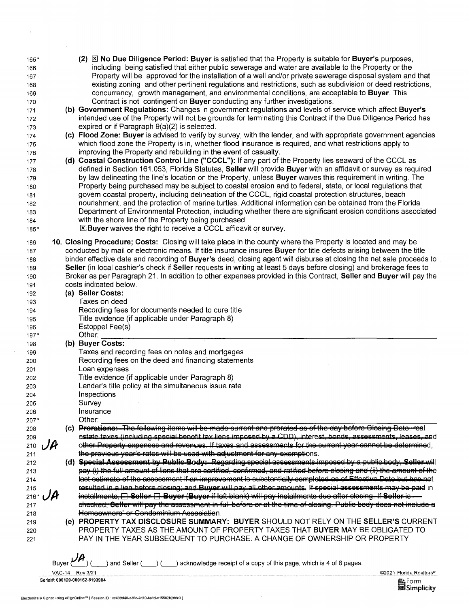| 165*<br>166<br>167<br>168<br>169<br>170<br>171<br>172<br>173 |     | $(2)$ $\boxtimes$ No Due Diligence Period: Buyer is satisfied that the Property is suitable for Buyer's purposes,<br>including being satisfied that either public sewerage and water are available to the Property or the<br>Property will be approved for the installation of a well and/or private sewerage disposal system and that<br>existing zoning and other pertinent regulations and restrictions, such as subdivision or deed restrictions,<br>concurrency, growth management, and environmental conditions, are acceptable to <b>Buyer</b> . This<br>Contract is not contingent on Buyer conducting any further investigations.<br>(b) Government Regulations: Changes in government regulations and levels of service which affect Buyer's<br>intended use of the Property will not be grounds for terminating this Contract if the Due Diligence Period has<br>expired or if Paragraph $9(a)(2)$ is selected. |
|--------------------------------------------------------------|-----|----------------------------------------------------------------------------------------------------------------------------------------------------------------------------------------------------------------------------------------------------------------------------------------------------------------------------------------------------------------------------------------------------------------------------------------------------------------------------------------------------------------------------------------------------------------------------------------------------------------------------------------------------------------------------------------------------------------------------------------------------------------------------------------------------------------------------------------------------------------------------------------------------------------------------|
| 174                                                          |     | (c) Flood Zone: Buyer is advised to verify by survey, with the lender, and with appropriate government agencies<br>which flood zone the Property is in, whether flood insurance is required, and what restrictions apply to                                                                                                                                                                                                                                                                                                                                                                                                                                                                                                                                                                                                                                                                                                |
| 175<br>176                                                   |     | improving the Property and rebuilding in the event of casualty.                                                                                                                                                                                                                                                                                                                                                                                                                                                                                                                                                                                                                                                                                                                                                                                                                                                            |
| 177                                                          |     | (d) Coastal Construction Control Line ("CCCL"): If any part of the Property lies seaward of the CCCL as                                                                                                                                                                                                                                                                                                                                                                                                                                                                                                                                                                                                                                                                                                                                                                                                                    |
| 178                                                          |     | defined in Section 161.053, Florida Statutes, Seller will provide Buyer with an affidavit or survey as required                                                                                                                                                                                                                                                                                                                                                                                                                                                                                                                                                                                                                                                                                                                                                                                                            |
| 179                                                          |     | by law delineating the line's location on the Property, unless Buyer waives this requirement in writing. The                                                                                                                                                                                                                                                                                                                                                                                                                                                                                                                                                                                                                                                                                                                                                                                                               |
| 180                                                          |     | Property being purchased may be subject to coastal erosion and to federal, state, or local regulations that                                                                                                                                                                                                                                                                                                                                                                                                                                                                                                                                                                                                                                                                                                                                                                                                                |
| 181                                                          |     | govern coastal property, including delineation of the CCCL, rigid coastal protection structures, beach                                                                                                                                                                                                                                                                                                                                                                                                                                                                                                                                                                                                                                                                                                                                                                                                                     |
| 182                                                          |     | nourishment, and the protection of marine turtles. Additional information can be obtained from the Florida                                                                                                                                                                                                                                                                                                                                                                                                                                                                                                                                                                                                                                                                                                                                                                                                                 |
| 183                                                          |     | Department of Environmental Protection, including whether there are significant erosion conditions associated                                                                                                                                                                                                                                                                                                                                                                                                                                                                                                                                                                                                                                                                                                                                                                                                              |
| 184                                                          |     | with the shore line of the Property being purchased.                                                                                                                                                                                                                                                                                                                                                                                                                                                                                                                                                                                                                                                                                                                                                                                                                                                                       |
| 185*                                                         |     | $\Sigma$ Buyer waives the right to receive a CCCL affidavit or survey.                                                                                                                                                                                                                                                                                                                                                                                                                                                                                                                                                                                                                                                                                                                                                                                                                                                     |
| 186                                                          |     | 10. Closing Procedure; Costs: Closing will take place in the county where the Property is located and may be                                                                                                                                                                                                                                                                                                                                                                                                                                                                                                                                                                                                                                                                                                                                                                                                               |
| 187                                                          |     | conducted by mail or electronic means. If title insurance insures Buyer for title defects arising between the title                                                                                                                                                                                                                                                                                                                                                                                                                                                                                                                                                                                                                                                                                                                                                                                                        |
| 188                                                          |     | binder effective date and recording of Buyer's deed, closing agent will disburse at closing the net sale proceeds to                                                                                                                                                                                                                                                                                                                                                                                                                                                                                                                                                                                                                                                                                                                                                                                                       |
| 189                                                          |     | Seller (in local cashier's check if Seller requests in writing at least 5 days before closing) and brokerage fees to                                                                                                                                                                                                                                                                                                                                                                                                                                                                                                                                                                                                                                                                                                                                                                                                       |
| 190                                                          |     | Broker as per Paragraph 21. In addition to other expenses provided in this Contract, Seller and Buyer will pay the                                                                                                                                                                                                                                                                                                                                                                                                                                                                                                                                                                                                                                                                                                                                                                                                         |
| 191                                                          |     | costs indicated below.                                                                                                                                                                                                                                                                                                                                                                                                                                                                                                                                                                                                                                                                                                                                                                                                                                                                                                     |
| 192                                                          |     | (a) Seller Costs:                                                                                                                                                                                                                                                                                                                                                                                                                                                                                                                                                                                                                                                                                                                                                                                                                                                                                                          |
| 193                                                          |     | Taxes on deed                                                                                                                                                                                                                                                                                                                                                                                                                                                                                                                                                                                                                                                                                                                                                                                                                                                                                                              |
| 194                                                          |     | Recording fees for documents needed to cure title<br>Title evidence (if applicable under Paragraph 8)                                                                                                                                                                                                                                                                                                                                                                                                                                                                                                                                                                                                                                                                                                                                                                                                                      |
| 195<br>196                                                   |     | Estoppel Fee(s)                                                                                                                                                                                                                                                                                                                                                                                                                                                                                                                                                                                                                                                                                                                                                                                                                                                                                                            |
| 197*                                                         |     | Other:                                                                                                                                                                                                                                                                                                                                                                                                                                                                                                                                                                                                                                                                                                                                                                                                                                                                                                                     |
| 198                                                          |     | (b) Buyer Costs:                                                                                                                                                                                                                                                                                                                                                                                                                                                                                                                                                                                                                                                                                                                                                                                                                                                                                                           |
| 199                                                          |     | Taxes and recording fees on notes and mortgages                                                                                                                                                                                                                                                                                                                                                                                                                                                                                                                                                                                                                                                                                                                                                                                                                                                                            |
| 200                                                          |     | Recording fees on the deed and financing statements                                                                                                                                                                                                                                                                                                                                                                                                                                                                                                                                                                                                                                                                                                                                                                                                                                                                        |
| 201                                                          |     | Loan expenses                                                                                                                                                                                                                                                                                                                                                                                                                                                                                                                                                                                                                                                                                                                                                                                                                                                                                                              |
| 202                                                          |     | Title evidence (if applicable under Paragraph 8)                                                                                                                                                                                                                                                                                                                                                                                                                                                                                                                                                                                                                                                                                                                                                                                                                                                                           |
| 203                                                          |     | Lender's title policy at the simultaneous issue rate                                                                                                                                                                                                                                                                                                                                                                                                                                                                                                                                                                                                                                                                                                                                                                                                                                                                       |
| 204                                                          |     | Inspections                                                                                                                                                                                                                                                                                                                                                                                                                                                                                                                                                                                                                                                                                                                                                                                                                                                                                                                |
| 205<br>206                                                   |     | Survey<br>Insurance                                                                                                                                                                                                                                                                                                                                                                                                                                                                                                                                                                                                                                                                                                                                                                                                                                                                                                        |
| $207*$                                                       |     | Other:                                                                                                                                                                                                                                                                                                                                                                                                                                                                                                                                                                                                                                                                                                                                                                                                                                                                                                                     |
| 208                                                          | (C) | Prorations: The following items will be made current and prorated as of the day before Glosing Date: real                                                                                                                                                                                                                                                                                                                                                                                                                                                                                                                                                                                                                                                                                                                                                                                                                  |
| 209                                                          |     | estate taxes (including special benefit tax liens imposed by a CDD), interest, bonds, assessments, leases, and                                                                                                                                                                                                                                                                                                                                                                                                                                                                                                                                                                                                                                                                                                                                                                                                             |
| 210                                                          |     | other Property expenses and revenues. If taxes and assessments for the current year cannot be determined.                                                                                                                                                                                                                                                                                                                                                                                                                                                                                                                                                                                                                                                                                                                                                                                                                  |
| 211                                                          |     | the previous year's rates will be used with adjustment for any exemptions.                                                                                                                                                                                                                                                                                                                                                                                                                                                                                                                                                                                                                                                                                                                                                                                                                                                 |
| 212                                                          |     | (d) Special Assessment by Public Body: Regarding special assessments imposed by a public body. Seller will                                                                                                                                                                                                                                                                                                                                                                                                                                                                                                                                                                                                                                                                                                                                                                                                                 |
| 213                                                          |     | pay (i) the full amount of liens that are certified, confirmed, and ratified before elecing and (ii) the amount of the                                                                                                                                                                                                                                                                                                                                                                                                                                                                                                                                                                                                                                                                                                                                                                                                     |
| 214                                                          |     | lest setimate of the assessment if an imprevement is substantially completed as of Effective Date but has not                                                                                                                                                                                                                                                                                                                                                                                                                                                                                                                                                                                                                                                                                                                                                                                                              |
| 215                                                          |     | resulted in a lien before closing; and Buyer will pay all other amounts. If special assessments may be paid in                                                                                                                                                                                                                                                                                                                                                                                                                                                                                                                                                                                                                                                                                                                                                                                                             |
| $216*$                                                       |     | installmonts, El Sollor El Buyer (Buyer if left blank) will pay installments due after clesing. If Soller is<br>checked, Seller will pay the assessment in full before or at the time of closing. Public body does not include a                                                                                                                                                                                                                                                                                                                                                                                                                                                                                                                                                                                                                                                                                           |
| 217<br>218                                                   |     | Hemeewnere' or Gendeminium Association.                                                                                                                                                                                                                                                                                                                                                                                                                                                                                                                                                                                                                                                                                                                                                                                                                                                                                    |
| 219                                                          |     | (e) PROPERTY TAX DISCLOSURE SUMMARY: BUYER SHOULD NOT RELY ON THE SELLER'S CURRENT                                                                                                                                                                                                                                                                                                                                                                                                                                                                                                                                                                                                                                                                                                                                                                                                                                         |
| 220                                                          |     | PROPERTY TAXES AS THE AMOUNT OF PROPERTY TAXES THAT BUYER MAY BE OBLIGATED TO                                                                                                                                                                                                                                                                                                                                                                                                                                                                                                                                                                                                                                                                                                                                                                                                                                              |
| 221                                                          |     | PAY IN THE YEAR SUBSEQUENT TO PURCHASE. A CHANGE OF OWNERSHIP OR PROPERTY                                                                                                                                                                                                                                                                                                                                                                                                                                                                                                                                                                                                                                                                                                                                                                                                                                                  |
|                                                              |     |                                                                                                                                                                                                                                                                                                                                                                                                                                                                                                                                                                                                                                                                                                                                                                                                                                                                                                                            |
|                                                              |     | and Seller ( _) ( __) acknowledge receipt of a copy of this page, which is 4 of 8 pages.                                                                                                                                                                                                                                                                                                                                                                                                                                                                                                                                                                                                                                                                                                                                                                                                                                   |

VAC-14 Rev 3/21 Serial#: 000120·000162-8193904

 $\sim 10^{-11}$ 

 $\sim$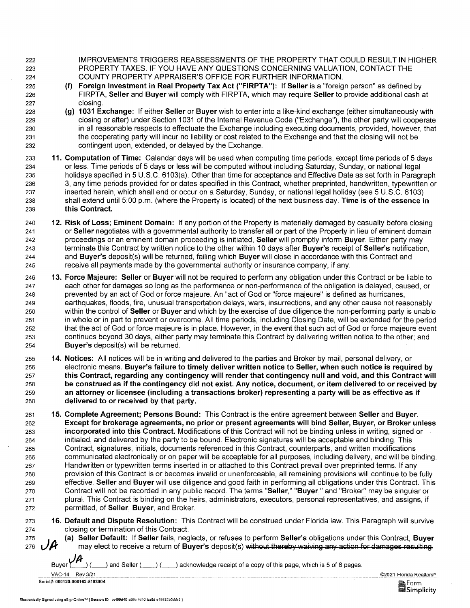222 223 224

225 226 227 IMPROVEMENTS TRIGGERS REASSESSMENTS OF THE PROPERTY THAT COULD RESULT IN HIGHER PROPERTY TAXES. IF YOU HAVE ANY QUESTIONS CONCERNING VALUATION, CONTACT THE COUNTY PROPERTY APPRAISER'S OFFICE FOR FURTHER INFORMATION.

- (f) Foreign Investment in Real Property Tax Act ("FIRPTA"): If Seller is a "foreign person" as defined by FIRPTA, Seller and Buyer will comply with FIRPTA, which may require Seller to provide additional cash at closing.
- 228 229 230 231 232 (g) 1031 Exchange: If either Seller or Buyer wish to enter into a like-kind exchange (either simultaneously with closing or after) under Section 1031 of the Internal Revenue Code ("Exchange"), the other party will cooperate in all reasonable respects to effectuate the Exchange including executing documents, provided, however, that the cooperating party will incur no liability or cost related to the Exchange and that the closing will not be contingent upon, extended, or delayed by the Exchange.
- 233 234 235 236 237 238 239 11. Computation of Time: Calendar days will be used when computing time periods, except time periods of 5 days or less. Time periods of 5 days or less will be computed without including Saturday, Sunday, or national legal holidays specified in 5 U.S.C. 6103(a). Other than time for acceptance and Effective Date as set forth in Paragraph 3, any time periods provided for or dates specified in this Contract, whether preprinted, handwritten, typewritten or inserted herein, which shall end or occur on a Saturday, Sunday, or national legal holiday (see 5 U.S.C. 6103) shall extend until 5:00 p.m. (where the Property is located) of the next business day. Time is of the essence in this Contract.
- 240 241 242 243 244 245 12. Risk of Loss; Eminent Domain: If any portion of the Property is materially damaged by casualty before closing or Seller negotiates with a governmental authority to transfer all or part of the Property in lieu of eminent domain proceedings or an eminent domain proceeding is initiated, Seller will promptly inform Buyer. Either party may terminate this Contract by written notice to the other within 10 days after Buyer's receipt of Seller's notification, and Buyer's deposit(s) will be returned, failing which Buyer will close in accordance with this Contract and receive all payments made by the governmental authority or insurance company, if any.
- 246 247 248 249 250 251 252 253 254 13. Force Majeure: Seller or Buyer will not be required to perform any obligation under this Contract or be liable to each other for damages so long as the performance or non-performance of the obligation is delayed, caused, or prevented by an act of God or force majeure. An "act of God or "force majeure" is defined as hurricanes, earthquakes, floods, fire, unusual transportation delays, wars, insurrections, and any other cause not reasonably within the control of Seller or Buyer and which by the exercise of due diligence the non-performing party is unable in whole or in part to prevent or overcome. All time periods, including Closing Date, will be extended for the period that the act of God or force majeure is in place. However, in the event that such act of God or force majeure event continues beyond 30 days, either party may terminate this Contract by delivering written notice to the other; and Buyer's deposit(s) will be returned.
- 255 256 257 258 259 260 14. Notices: All notices will be in writing and delivered to the parties and Broker by mail, personal delivery, or electronic means. Buyer's failure to timely deliver written notice to Seller, when such notice is required by this Contract, regarding any contingency will render that contingency null and void, and this Contract will be construed as if the contingency did not exist. Any notice, document, or item delivered to or received by an attorney or licensee (including a transactions broker) representing a party will be as effective as if delivered to or received by that party.
- 261 262 263 264 265 266 267 268 269 270 271 272 15. Complete Agreement; Persons Bound: This Contract is the entire agreement between Seller and Buyer. Except for brokerage agreements, no prior or present agreements will bind Seller, Buyer, or Broker unless incorporated into this Contract. Modifications of this Contract will not be binding unless in writing, signed or initialed, and delivered by the party to be bound. Electronic signatures will be acceptable and binding. This Contract, signatures, initials, documents referenced in this Contract, counterparts, and written modifications communicated electronically or on paper will be acceptable for all purposes, including delivery, and will be binding. Handwritten or typewritten terms inserted in or attached to this Contract prevail over preprinted terms. If any provision of this Contract is or becomes invalid or unenforceable, all remaining provisions will continue to be fully effective. Seller and Buyer will use diligence and good faith in performing all obligations under this Contract. This Contract will not be recorded in any public record. The terms "Seller," "Buyer," and "Broker" may be singular or plural. This Contract is binding on the heirs, administrators, executors, personal representatives, and assigns, if permitted, of Seller, Buyer, and Broker.
- 273 274 16. Default and Dispute Resolution: This Contract will be construed under Florida law. This Paragraph will survive closing or termination of this Contract.
	- (a) Seller Default: If Seller fails, neglects, or refuses to perform Seller's obligations under this Contract, Buyer<br>may elect to receive a return of Buyer's deposit(s) without thereby waiving any action for damages resul

Buyer ( $\mu$ , ) (  $\mu$ ) and Seller (  $\mu$ ) acknowledge receipt of a copy of this page, which is 5 of 8 pages.

VAC-14 Rev3/21 Serial#: 000120-000162-8193904

275 276

©2021 Florida Realtors®

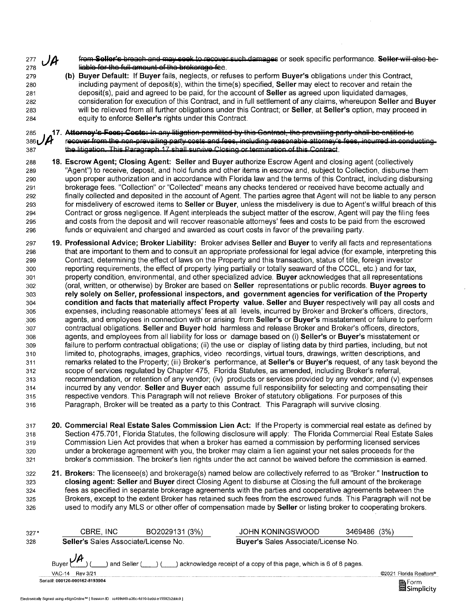277<sup>2</sup> frem Soller's breach and may seek to recover such damages or seek specific performance. Seller-will-alse-beliable for the full amount of the brokerage fee.

279 280 281 282 283 284 (b) Buyer Default: If Buyer fails, neglects, or refuses to perform Buyer's obligations under this Contract, including payment of deposit(s), within the time(s) specified, Seller may elect to recover and retain the deposit(s), paid and agreed to be paid, for the account of Seller as agreed upon liquidated damages, consideration for execution of this Contract, and in full settlement of any claims, whereupon Seller and Buyer will be relieved from all further obligations under this Contract; or Seller, at Seller's option, may proceed in equity to enforce Seller's rights under this Contract.

### 285<sub>1</sub>, 17. Attorney's Fees; Cests; In any litiantion permitted by this Contract, the prevailing party shall be entitled to 386 $\overline{D}$  recover from the non-prevailing party costs and fees, including reasonable attorney's fees, incurred in conducting 387 the litigation. This Paragraph 17 shall survive Closing or termination of this Contract.

- 288 18. Escrow Agent; Closing Agent: Seller and Buyer authorize Escrow Agent and closing agent (collectively 289 "Agent") to receive, deposit, and hold funds and other items in escrow and, subject to Collection, disburse them 290 upon proper authorization and in accordance with Florida law and the terms of this Contract, including disbursing 291 brokerage fees. "Collection" or "Collected" means any checks tendered or received have become actually and 292 finally collected and deposited in the account of Agent. The parties agree that Agent will not be liable to any person 293 for misdelivery of escrowed items to Seller or Buyer, unless the misdelivery is due to Agent's willful breach of this 294 Contract or gross negligence. If Agent interpleads the subject matter of the escrow, Agent will pay the filing fees 295 and costs from the deposit and will recover reasonable attorneys' fees and costs to be paid from the escrowed 296 funds or equivalent and charged and awarded as court costs in favor of the prevailing party.
- 297 19. Professional Advice; Broker Liability: Broker advises Seller and Buyer to verify all facts and representations 298 that are important to them and to consult an appropriate professional for legal advice (for example, interpreting this 299 Contract, determining the effect of laws on the Property and this transaction, status of title, foreign investor 300 reporting requirements, the effect of property lying partially or totally seaward of the CCCL, etc.) and for tax, 301 property condition, environmental, and other specialized advice. Buyer acknowledges that all representations 302 (oral, written, or otherwise) by Broker are based on Seller representations or public records. Buyer agrees to 303 rely solely on Seller, professional inspectors, and government agencies for verification of the Property 304 condition and facts that materially affect Property value. Seller and Buyer respectively will pay all costs and 305 expenses, including reasonable attorneys' fees' at all levels, incurred by Broker and Broker's officers, directors, 306 agents, and employees in connection with or arising from Seller's or Buyer's misstatement or failure to perform 307 contractual obligations. Seller and Buyer hold harmless and release Broker and Broker's officers, directors, 308 agents, and employees from all liability for loss or damage based on (i) Seller's or Buyer's misstatement or 309 failure to perform contractual obligations; (ii) the use or display of listing data by third parties, including, but not 310 limited to, photographs, images, graphics, video recordings, virtual tours, drawings, written descriptions, and 311 remarks related to the Property; (iii) Broker's performance, at Seller's or Buyer's request, of any task beyond the 312 scope of services regulated by Chapter 475, Florida Statutes, as amended, including Broker's referral, 313 recommendation, or retention of any vendor; (iv) products or services provided by any vendor; and (v) expenses 314 incurred by any vendor. Seller and Buyer each assume full responsibility for selecting and compensating their 315 respective vendors. This Paragraph will not relieve Broker of statutory obligations. For purposes of this 316 Paragraph, Broker will be treated as a party to this Contract. This Paragraph will survive closing.
- 317 20. Commercial Real Estate Sales Commission Lien Act: If the Property is commercial real estate as defined by 318 Section 475.701, Florida Statutes, the following disclosure will apply: The Florida Commercial Real Estate Sales 319 Commission Lien Act provides that when a broker has earned a commission by performing licensed services 320 under a brokerage agreement with you, the broker may claim a lien against your net sales proceeds for the 321 broker's commission. The broker's lien rights under the act cannot be waived before the commission is earned.
- 322 21. Brokers: The licensee(s) and brokerage(s) named below are collectively referred to as "Broker." Instruction to 323 closing agent: Seller and Buyer direct Closing Agent to disburse at Closing the full amount of the brokerage 324 fees as specified in separate brokerage agreements with the parties and cooperative agreements between the 325 Brokers, except to the extent Broker has retained such fees from the escrowed funds. This Paragraph will not be 326 used to modify any MLS or other offer of compensation made by Seller or listing broker to cooperating brokers.

| $327*$ | CBRE INC                                    | BO2029131 (3%) | <b>JOHN KONINGSWOOD</b>                                              | 3469486 | (3%)                    |
|--------|---------------------------------------------|----------------|----------------------------------------------------------------------|---------|-------------------------|
| 328    | <b>Seller's Sales Associate/License No.</b> |                | Buyer's Sales Associate/License No.                                  |         |                         |
|        | Buver $\mu$<br>and Seller (                 |                | ) acknowledge receipt of a copy of this page, which is 6 of 8 pages. |         |                         |
|        | Rev 3/21<br>VAC-14                          |                |                                                                      |         | @2021 Florida Realtors® |



Serial#: 000120-000162-8193904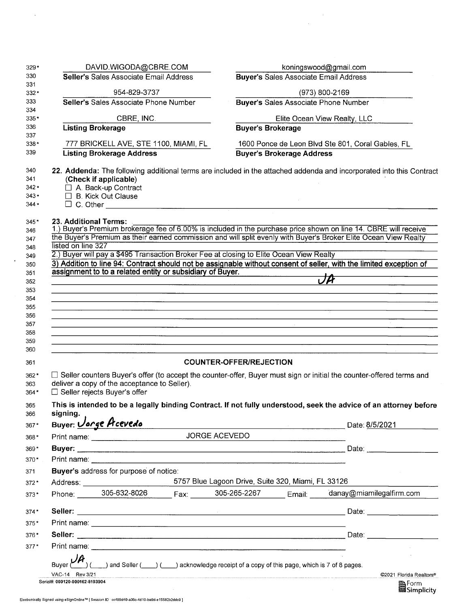| 330<br>Seller's Sales Associate Email Address<br><b>Buyer's Sales Associate Email Address</b><br>331<br>954-829-3737<br>(973) 800-2169<br>332*<br>333<br><b>Buyer's Sales Associate Phone Number</b><br>Seller's Sales Associate Phone Number<br>334<br>CBRE, INC.<br>Elite Ocean View Realty, LLC<br>$335*$<br>336<br><b>Listing Brokerage</b><br><b>Buyer's Brokerage</b><br>337<br>777 BRICKELL AVE, STE 1100, MIAMI, FL<br>338*<br>1600 Ponce de Leon Blvd Ste 801, Coral Gables, FL<br><b>Listing Brokerage Address</b><br><b>Buyer's Brokerage Address</b><br>339<br>340<br>22. Addenda: The following additional terms are included in the attached addenda and incorporated into this Contract<br>(Check if applicable)<br>341<br>□ A. Back-up Contract<br>$342*$<br>$\Box$ B. Kick Out Clause<br>$343*$<br>$344*$<br>23. Additional Terms:<br>$345*$<br>1.) Buyer's Premium brokerage fee of 6.00% is included in the purchase price shown on line 14. CBRE will receive<br>346 |                                       |
|------------------------------------------------------------------------------------------------------------------------------------------------------------------------------------------------------------------------------------------------------------------------------------------------------------------------------------------------------------------------------------------------------------------------------------------------------------------------------------------------------------------------------------------------------------------------------------------------------------------------------------------------------------------------------------------------------------------------------------------------------------------------------------------------------------------------------------------------------------------------------------------------------------------------------------------------------------------------------------------|---------------------------------------|
|                                                                                                                                                                                                                                                                                                                                                                                                                                                                                                                                                                                                                                                                                                                                                                                                                                                                                                                                                                                          |                                       |
|                                                                                                                                                                                                                                                                                                                                                                                                                                                                                                                                                                                                                                                                                                                                                                                                                                                                                                                                                                                          |                                       |
|                                                                                                                                                                                                                                                                                                                                                                                                                                                                                                                                                                                                                                                                                                                                                                                                                                                                                                                                                                                          |                                       |
|                                                                                                                                                                                                                                                                                                                                                                                                                                                                                                                                                                                                                                                                                                                                                                                                                                                                                                                                                                                          |                                       |
|                                                                                                                                                                                                                                                                                                                                                                                                                                                                                                                                                                                                                                                                                                                                                                                                                                                                                                                                                                                          |                                       |
|                                                                                                                                                                                                                                                                                                                                                                                                                                                                                                                                                                                                                                                                                                                                                                                                                                                                                                                                                                                          |                                       |
|                                                                                                                                                                                                                                                                                                                                                                                                                                                                                                                                                                                                                                                                                                                                                                                                                                                                                                                                                                                          |                                       |
|                                                                                                                                                                                                                                                                                                                                                                                                                                                                                                                                                                                                                                                                                                                                                                                                                                                                                                                                                                                          |                                       |
|                                                                                                                                                                                                                                                                                                                                                                                                                                                                                                                                                                                                                                                                                                                                                                                                                                                                                                                                                                                          |                                       |
|                                                                                                                                                                                                                                                                                                                                                                                                                                                                                                                                                                                                                                                                                                                                                                                                                                                                                                                                                                                          |                                       |
|                                                                                                                                                                                                                                                                                                                                                                                                                                                                                                                                                                                                                                                                                                                                                                                                                                                                                                                                                                                          |                                       |
|                                                                                                                                                                                                                                                                                                                                                                                                                                                                                                                                                                                                                                                                                                                                                                                                                                                                                                                                                                                          |                                       |
|                                                                                                                                                                                                                                                                                                                                                                                                                                                                                                                                                                                                                                                                                                                                                                                                                                                                                                                                                                                          |                                       |
|                                                                                                                                                                                                                                                                                                                                                                                                                                                                                                                                                                                                                                                                                                                                                                                                                                                                                                                                                                                          |                                       |
| the Buyer's Premium as their earned commission and will split evenly with Buyer's Broker Elite Ocean View Realty                                                                                                                                                                                                                                                                                                                                                                                                                                                                                                                                                                                                                                                                                                                                                                                                                                                                         |                                       |
| listed on line 327                                                                                                                                                                                                                                                                                                                                                                                                                                                                                                                                                                                                                                                                                                                                                                                                                                                                                                                                                                       |                                       |
| 2.) Buyer will pay a \$495 Transaction Broker Fee at closing to Elite Ocean View Realty                                                                                                                                                                                                                                                                                                                                                                                                                                                                                                                                                                                                                                                                                                                                                                                                                                                                                                  |                                       |
| 3) Addition to line 94: Contract should not be assignable without consent of seller, with the limited exception of                                                                                                                                                                                                                                                                                                                                                                                                                                                                                                                                                                                                                                                                                                                                                                                                                                                                       |                                       |
| assignment to to a related entity or subsidiary of Buyer.                                                                                                                                                                                                                                                                                                                                                                                                                                                                                                                                                                                                                                                                                                                                                                                                                                                                                                                                |                                       |
| JA                                                                                                                                                                                                                                                                                                                                                                                                                                                                                                                                                                                                                                                                                                                                                                                                                                                                                                                                                                                       |                                       |
| <u> 1989 - Andrea Andrea Andrea Andrea Andrea Andrea Andrea Andrea Andrea Andrea Andrea Andrea Andrea Andrea Andr</u><br><u> 1989 - Johann Harry Harry Harry Harry Harry Harry Harry Harry Harry Harry Harry Harry Harry Harry Harry Harry</u>                                                                                                                                                                                                                                                                                                                                                                                                                                                                                                                                                                                                                                                                                                                                           |                                       |
| <u> 1988 - John Stein, Amerikaansk politiker (* 1908)</u>                                                                                                                                                                                                                                                                                                                                                                                                                                                                                                                                                                                                                                                                                                                                                                                                                                                                                                                                |                                       |
|                                                                                                                                                                                                                                                                                                                                                                                                                                                                                                                                                                                                                                                                                                                                                                                                                                                                                                                                                                                          |                                       |
| <u> 1980 - Andrea Santana, amerikana amerikana amerikana amerikana amerikana amerikana amerikana amerikana amerika</u>                                                                                                                                                                                                                                                                                                                                                                                                                                                                                                                                                                                                                                                                                                                                                                                                                                                                   |                                       |
| <u> 1989 - Andrea San Angel, Amerikaansk politiker († 1908)</u>                                                                                                                                                                                                                                                                                                                                                                                                                                                                                                                                                                                                                                                                                                                                                                                                                                                                                                                          |                                       |
| <u> 1980 - An Dùbhlachd ann an Dùbhlachd ann an Dùbhlachd ann an Dùbhlachd ann an Dùbhlachd ann an Dùbhlachd ann a</u>                                                                                                                                                                                                                                                                                                                                                                                                                                                                                                                                                                                                                                                                                                                                                                                                                                                                   |                                       |
| <b>COUNTER-OFFER/REJECTION</b>                                                                                                                                                                                                                                                                                                                                                                                                                                                                                                                                                                                                                                                                                                                                                                                                                                                                                                                                                           |                                       |
|                                                                                                                                                                                                                                                                                                                                                                                                                                                                                                                                                                                                                                                                                                                                                                                                                                                                                                                                                                                          |                                       |
| □ Seller counters Buyer's offer (to accept the counter-offer, Buyer must sign or initial the counter-offered terms and<br>$362*$<br>deliver a copy of the acceptance to Seller).                                                                                                                                                                                                                                                                                                                                                                                                                                                                                                                                                                                                                                                                                                                                                                                                         |                                       |
| □ Seller rejects Buyer's offer<br>364*                                                                                                                                                                                                                                                                                                                                                                                                                                                                                                                                                                                                                                                                                                                                                                                                                                                                                                                                                   |                                       |
|                                                                                                                                                                                                                                                                                                                                                                                                                                                                                                                                                                                                                                                                                                                                                                                                                                                                                                                                                                                          |                                       |
| This is intended to be a legally binding Contract. If not fully understood, seek the advice of an attorney before<br>signing.                                                                                                                                                                                                                                                                                                                                                                                                                                                                                                                                                                                                                                                                                                                                                                                                                                                            |                                       |
| Buyer: <i><u>Vorge</u></i> Prcevedo<br>$367*$<br>$\blacksquare$ Date: 8/5/2021                                                                                                                                                                                                                                                                                                                                                                                                                                                                                                                                                                                                                                                                                                                                                                                                                                                                                                           |                                       |
| JORGE ACEVEDO<br>$368*$                                                                                                                                                                                                                                                                                                                                                                                                                                                                                                                                                                                                                                                                                                                                                                                                                                                                                                                                                                  |                                       |
|                                                                                                                                                                                                                                                                                                                                                                                                                                                                                                                                                                                                                                                                                                                                                                                                                                                                                                                                                                                          |                                       |
| $369*$                                                                                                                                                                                                                                                                                                                                                                                                                                                                                                                                                                                                                                                                                                                                                                                                                                                                                                                                                                                   |                                       |
| $370*$                                                                                                                                                                                                                                                                                                                                                                                                                                                                                                                                                                                                                                                                                                                                                                                                                                                                                                                                                                                   |                                       |
| Buyer's address for purpose of notice:                                                                                                                                                                                                                                                                                                                                                                                                                                                                                                                                                                                                                                                                                                                                                                                                                                                                                                                                                   |                                       |
| 5757 Blue Lagoon Drive, Suite 320, Miami, FL 33126<br>$372*$                                                                                                                                                                                                                                                                                                                                                                                                                                                                                                                                                                                                                                                                                                                                                                                                                                                                                                                             |                                       |
| Phone: _______305-632-8026<br>Fax: 305-265-2267 Email: danay@miamilegalfirm.com<br>$373*$                                                                                                                                                                                                                                                                                                                                                                                                                                                                                                                                                                                                                                                                                                                                                                                                                                                                                                |                                       |
| $374*$                                                                                                                                                                                                                                                                                                                                                                                                                                                                                                                                                                                                                                                                                                                                                                                                                                                                                                                                                                                   |                                       |
|                                                                                                                                                                                                                                                                                                                                                                                                                                                                                                                                                                                                                                                                                                                                                                                                                                                                                                                                                                                          |                                       |
|                                                                                                                                                                                                                                                                                                                                                                                                                                                                                                                                                                                                                                                                                                                                                                                                                                                                                                                                                                                          |                                       |
| Date: <b>Date: Date:</b>                                                                                                                                                                                                                                                                                                                                                                                                                                                                                                                                                                                                                                                                                                                                                                                                                                                                                                                                                                 |                                       |
| $375*$<br>$376*$<br>$377*$                                                                                                                                                                                                                                                                                                                                                                                                                                                                                                                                                                                                                                                                                                                                                                                                                                                                                                                                                               |                                       |
|                                                                                                                                                                                                                                                                                                                                                                                                                                                                                                                                                                                                                                                                                                                                                                                                                                                                                                                                                                                          |                                       |
| ) and Seller $($ $)$ $($ $)$ acknowledge receipt of a copy of this page, which is 7 of 8 pages.<br>Buver                                                                                                                                                                                                                                                                                                                                                                                                                                                                                                                                                                                                                                                                                                                                                                                                                                                                                 |                                       |
| VAC-14 Rev 3/21<br>Serial#: 000120-000162-8193904                                                                                                                                                                                                                                                                                                                                                                                                                                                                                                                                                                                                                                                                                                                                                                                                                                                                                                                                        | @2021 Florida Realtors®<br>Simplicity |

 $\mathcal{L}_{\text{max}}$ 

 $\bar{z}$ 

 $\sim$   $\star$